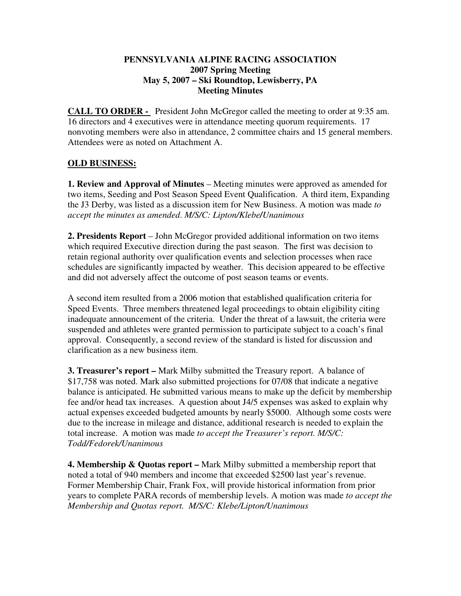### **PENNSYLVANIA ALPINE RACING ASSOCIATION 2007 Spring Meeting May 5, 2007 – Ski Roundtop, Lewisberry, PA Meeting Minutes**

**CALL TO ORDER -** President John McGregor called the meeting to order at 9:35 am. 16 directors and 4 executives were in attendance meeting quorum requirements. 17 nonvoting members were also in attendance, 2 committee chairs and 15 general members. Attendees were as noted on Attachment A.

## **OLD BUSINESS:**

**1. Review and Approval of Minutes** – Meeting minutes were approved as amended for two items, Seeding and Post Season Speed Event Qualification. A third item, Expanding the J3 Derby, was listed as a discussion item for New Business. A motion was made *to accept the minutes as amended*. *M/S/C: Lipton/Klebe/Unanimous*

**2. Presidents Report** – John McGregor provided additional information on two items which required Executive direction during the past season. The first was decision to retain regional authority over qualification events and selection processes when race schedules are significantly impacted by weather. This decision appeared to be effective and did not adversely affect the outcome of post season teams or events.

A second item resulted from a 2006 motion that established qualification criteria for Speed Events. Three members threatened legal proceedings to obtain eligibility citing inadequate announcement of the criteria. Under the threat of a lawsuit, the criteria were suspended and athletes were granted permission to participate subject to a coach's final approval. Consequently, a second review of the standard is listed for discussion and clarification as a new business item.

**3. Treasurer's report –** Mark Milby submitted the Treasury report. A balance of \$17,758 was noted. Mark also submitted projections for 07/08 that indicate a negative balance is anticipated. He submitted various means to make up the deficit by membership fee and/or head tax increases. A question about J4/5 expenses was asked to explain why actual expenses exceeded budgeted amounts by nearly \$5000. Although some costs were due to the increase in mileage and distance, additional research is needed to explain the total increase.A motion was made *to accept the Treasurer's report. M/S/C: Todd/Fedorek/Unanimous* 

**4. Membership & Quotas report –** Mark Milby submitted a membership report that noted a total of 940 members and income that exceeded \$2500 last year's revenue. Former Membership Chair, Frank Fox, will provide historical information from prior years to complete PARA records of membership levels. A motion was made *to accept the Membership and Quotas report. M/S/C: Klebe/Lipton/Unanimous*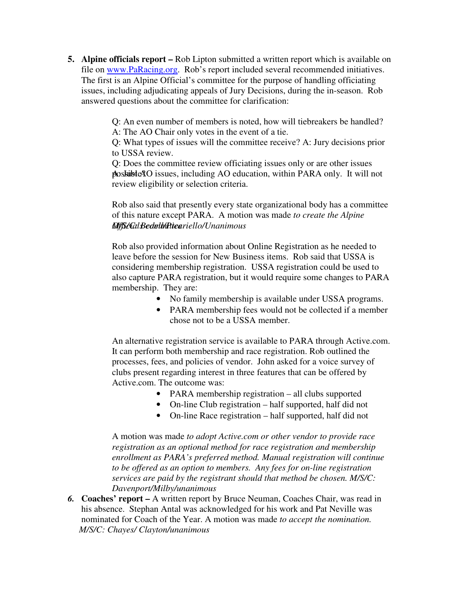**5. Alpine officials report –** Rob Lipton submitted a written report which is available on file on www.PaRacing.org. Rob's report included several recommended initiatives. The first is an Alpine Official's committee for the purpose of handling officiating issues, including adjudicating appeals of Jury Decisions, during the in-season. Rob answered questions about the committee for clarification:

> Q: An even number of members is noted, how will tiebreakers be handled? A: The AO Chair only votes in the event of a tie.

> Q: What types of issues will the committee receive? A: Jury decisions prior to USSA review.

> Q: Does the committee review officiating issues only or are other issues poskible AO issues, including AO education, within PARA only. It will not review eligibility or selection criteria.

Rob also said that presently every state organizational body has a committee of this nature except PARA. A motion was made *to create the Alpine Officials committee. M/S/C: Bedell/Picariello/Unanimous* 

Rob also provided information about Online Registration as he needed to leave before the session for New Business items. Rob said that USSA is considering membership registration. USSA registration could be used to also capture PARA registration, but it would require some changes to PARA membership. They are:

- No family membership is available under USSA programs.
- PARA membership fees would not be collected if a member chose not to be a USSA member.

An alternative registration service is available to PARA through Active.com. It can perform both membership and race registration. Rob outlined the processes, fees, and policies of vendor. John asked for a voice survey of clubs present regarding interest in three features that can be offered by Active.com. The outcome was:

- PARA membership registration all clubs supported
- On-line Club registration half supported, half did not
- On-line Race registration half supported, half did not

A motion was made *to adopt Active.com or other vendor to provide race registration as an optional method for race registration and membership enrollment as PARA's preferred method. Manual registration will continue to be offered as an option to members. Any fees for on-line registration services are paid by the registrant should that method be chosen. M/S/C: Davenport/Milby/unanimous* 

*6.* **Coaches' report –** A written report by Bruce Neuman, Coaches Chair, was read in his absence. Stephan Antal was acknowledged for his work and Pat Neville was nominated for Coach of the Year. A motion was made *to accept the nomination. M/S/C: Chayes/ Clayton/unanimous*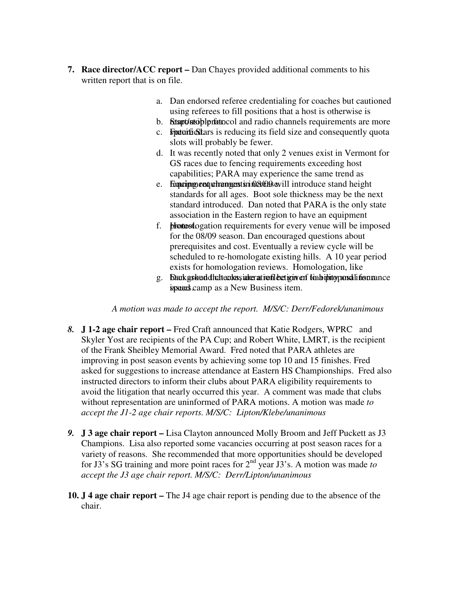- **7. Race director/ACC report** Dan Chayes provided additional comments to his written report that is on file.
	- a. Dan endorsed referee credentialing for coaches but cautioned using referees to fill positions that a host is otherwise is
	- b. **Responsibilished Start-Stop and radio channels requirements are more**
	- c. **Future Stars** is reducing its field size and consequently quota slots will probably be fewer.
	- d. It was recently noted that only 2 venues exist in Vermont for GS races due to fencing requirements exceeding host capabilities; PARA may experience the same trend as
	- e. Fequenting read to the material introduce stand height standards for all ages. Boot sole thickness may be the next standard introduced. Dan noted that PARA is the only state association in the Eastern region to have an equipment
	- f. **blotest** logation requirements for every venue will be imposed for the 08/09 season. Dan encouraged questions about prerequisites and cost. Eventually a review cycle will be scheduled to re-homologate existing hills. A 10 year period exists for homologation reviews. Homologation, like
	- g. Dan kground dhat teachas sia her at insule beet iginven to a bipinto pan soli for an ance ispendent camp as a New Business item.

*A motion was made to accept the report. M/S/C: Derr/Fedorek/unanimous* 

- *8.* **J 1-2 age chair report** Fred Craft announced that Katie Rodgers, WPRC and Skyler Yost are recipients of the PA Cup; and Robert White, LMRT, is the recipient of the Frank Sheibley Memorial Award. Fred noted that PARA athletes are improving in post season events by achieving some top 10 and 15 finishes. Fred asked for suggestions to increase attendance at Eastern HS Championships. Fred also instructed directors to inform their clubs about PARA eligibility requirements to avoid the litigation that nearly occurred this year. A comment was made that clubs without representation are uninformed of PARA motions. A motion was made *to accept the J1-2 age chair reports. M/S/C: Lipton/Klebe/unanimous*
- *9.* **J 3 age chair report** Lisa Clayton announced Molly Broom and Jeff Puckett as J3 Champions. Lisa also reported some vacancies occurring at post season races for a variety of reasons. She recommended that more opportunities should be developed for J3's SG training and more point races for 2nd year J3's. A motion was made *to accept the J3 age chair report. M/S/C: Derr/Lipton/unanimous*
- **10. J 4 age chair report** The J4 age chair report is pending due to the absence of the chair.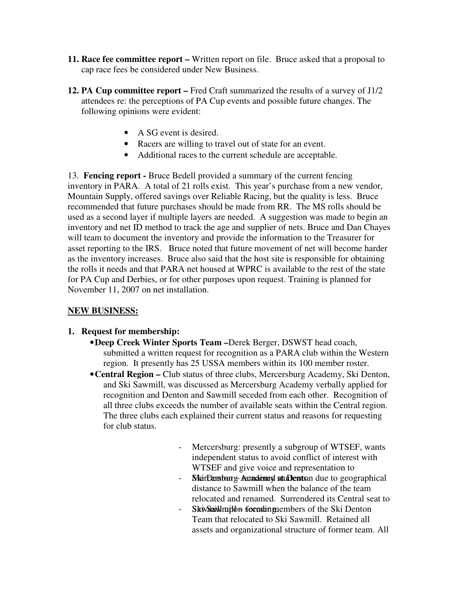- **11. Race fee committee report** Written report on file. Bruce asked that a proposal to cap race fees be considered under New Business.
- **12. PA Cup committee report** Fred Craft summarized the results of a survey of J1/2 attendees re: the perceptions of PA Cup events and possible future changes. The following opinions were evident:
	- A SG event is desired.
	- Racers are willing to travel out of state for an event.
	- Additional races to the current schedule are acceptable.

13. **Fencing report -** Bruce Bedell provided a summary of the current fencing inventory in PARA. A total of 21 rolls exist. This year's purchase from a new vendor, Mountain Supply, offered savings over Reliable Racing, but the quality is less. Bruce recommended that future purchases should be made from RR. The MS rolls should be used as a second layer if multiple layers are needed. A suggestion was made to begin an inventory and net ID method to track the age and supplier of nets. Bruce and Dan Chayes will team to document the inventory and provide the information to the Treasurer for asset reporting to the IRS. Bruce noted that future movement of net will become harder as the inventory increases. Bruce also said that the host site is responsible for obtaining the rolls it needs and that PARA net housed at WPRC is available to the rest of the state for PA Cup and Derbies, or for other purposes upon request. Training is planned for November 11, 2007 on net installation.

# **NEW BUSINESS:**

# **1. Request for membership:**

- •**Deep Creek Winter Sports Team –**Derek Berger, DSWST head coach, submitted a written request for recognition as a PARA club within the Western region. It presently has 25 USSA members within its 100 member roster.
- •**Central Region –** Club status of three clubs, Mercersburg Academy, Ski Denton, and Ski Sawmill, was discussed as Mercersburg Academy verbally applied for recognition and Denton and Sawmill seceded from each other. Recognition of all three clubs exceeds the number of available seats within the Central region. The three clubs each explained their current status and reasons for requesting for club status.
	- Mercersburg: presently a subgroup of WTSEF, wants independent status to avoid conflict of interest with WTSEF and give voice and representation to
	- **Net Denston g-Acandemed students.** Sue to geographical distance to Sawmill when the balance of the team relocated and renamed. Surrendered its Central seat to
	- SkiwSaiklmilden secenting. Ski Sawmich Ski Denton Team that relocated to Ski Sawmill. Retained all assets and organizational structure of former team. All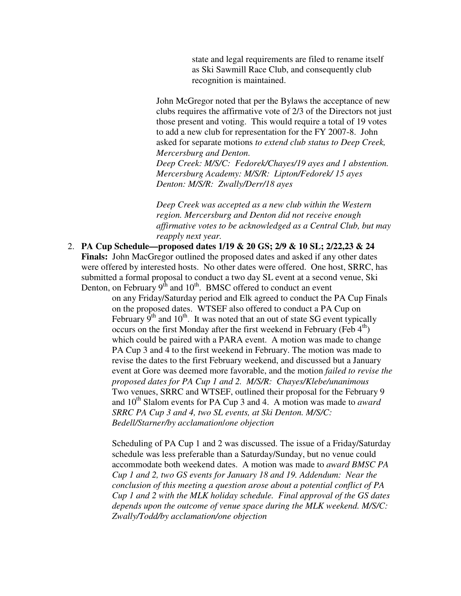state and legal requirements are filed to rename itself as Ski Sawmill Race Club, and consequently club recognition is maintained.

John McGregor noted that per the Bylaws the acceptance of new clubs requires the affirmative vote of 2/3 of the Directors not just those present and voting. This would require a total of 19 votes to add a new club for representation for the FY 2007-8. John asked for separate motions *to extend club status to Deep Creek, Mercersburg and Denton.* 

*Deep Creek: M/S/C: Fedorek/Chayes/19 ayes and 1 abstention. Mercersburg Academy: M/S/R: Lipton/Fedorek/ 15 ayes Denton: M/S/R: Zwally/Derr/18 ayes* 

*Deep Creek was accepted as a new club within the Western region. Mercersburg and Denton did not receive enough affirmative votes to be acknowledged as a Central Club, but may reapply next year.* 

2. **PA Cup Schedule—proposed dates 1/19 & 20 GS; 2/9 & 10 SL; 2/22,23 & 24 Finals:** John MacGregor outlined the proposed dates and asked if any other dates were offered by interested hosts. No other dates were offered. One host, SRRC, has submitted a formal proposal to conduct a two day SL event at a second venue, Ski Denton, on February  $9<sup>th</sup>$  and  $10<sup>th</sup>$ . BMSC offered to conduct an event

on any Friday/Saturday period and Elk agreed to conduct the PA Cup Finals on the proposed dates. WTSEF also offered to conduct a PA Cup on February  $9<sup>th</sup>$  and  $10<sup>th</sup>$ . It was noted that an out of state SG event typically occurs on the first Monday after the first weekend in February (Feb  $4<sup>th</sup>$ ) which could be paired with a PARA event. A motion was made to change PA Cup 3 and 4 to the first weekend in February. The motion was made to revise the dates to the first February weekend, and discussed but a January event at Gore was deemed more favorable, and the motion *failed to revise the proposed dates for PA Cup 1 and 2. M/S/R: Chayes/Klebe/unanimous*  Two venues, SRRC and WTSEF, outlined their proposal for the February 9 and 10<sup>th</sup> Slalom events for PA Cup 3 and 4. A motion was made to *award SRRC PA Cup 3 and 4, two SL events, at Ski Denton. M/S/C: Bedell/Starner/by acclamation*/*one objection* 

Scheduling of PA Cup 1 and 2 was discussed. The issue of a Friday/Saturday schedule was less preferable than a Saturday/Sunday, but no venue could accommodate both weekend dates. A motion was made to *award BMSC PA Cup 1 and 2, two GS events for January 18 and 19. Addendum: Near the conclusion of this meeting a question arose about a potential conflict of PA Cup 1 and 2 with the MLK holiday schedule. Final approval of the GS dates depends upon the outcome of venue space during the MLK weekend. M/S/C: Zwally/Todd/by acclamation/one objection*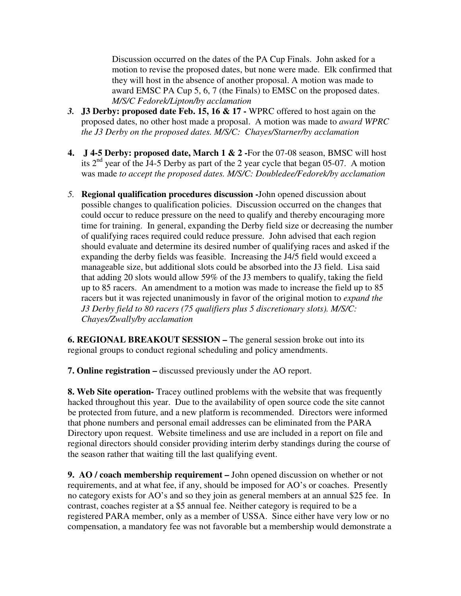Discussion occurred on the dates of the PA Cup Finals. John asked for a motion to revise the proposed dates, but none were made. Elk confirmed that they will host in the absence of another proposal. A motion was made to award EMSC PA Cup 5, 6, 7 (the Finals) to EMSC on the proposed dates. *M/S/C Fedorek/Lipton/by acclamation* 

- *3.* **J3 Derby: proposed date Feb. 15, 16 & 17** WPRC offered to host again on the proposed dates, no other host made a proposal. A motion was made to *award WPRC the J3 Derby on the proposed dates. M/S/C: Chayes/Starner/by acclamation*
- **4. J 4-5 Derby: proposed date, March 1 & 2 -**For the 07-08 season, BMSC will host its 2nd year of the J4-5 Derby as part of the 2 year cycle that began 05-07. A motion was made *to accept the proposed dates. M/S/C: Doubledee/Fedorek/by acclamation*
- *5.* **Regional qualification procedures discussion -**John opened discussion about possible changes to qualification policies. Discussion occurred on the changes that could occur to reduce pressure on the need to qualify and thereby encouraging more time for training. In general, expanding the Derby field size or decreasing the number of qualifying races required could reduce pressure. John advised that each region should evaluate and determine its desired number of qualifying races and asked if the expanding the derby fields was feasible. Increasing the J4/5 field would exceed a manageable size, but additional slots could be absorbed into the J3 field. Lisa said that adding 20 slots would allow 59% of the J3 members to qualify, taking the field up to 85 racers. An amendment to a motion was made to increase the field up to 85 racers but it was rejected unanimously in favor of the original motion to *expand the J3 Derby field to 80 racers (75 qualifiers plus 5 discretionary slots). M/S/C: Chayes/Zwally/by acclamation*

**6. REGIONAL BREAKOUT SESSION –** The general session broke out into its regional groups to conduct regional scheduling and policy amendments.

**7. Online registration –** discussed previously under the AO report.

**8. Web Site operation-** Tracey outlined problems with the website that was frequently hacked throughout this year. Due to the availability of open source code the site cannot be protected from future, and a new platform is recommended. Directors were informed that phone numbers and personal email addresses can be eliminated from the PARA Directory upon request. Website timeliness and use are included in a report on file and regional directors should consider providing interim derby standings during the course of the season rather that waiting till the last qualifying event.

**9. AO / coach membership requirement –** John opened discussion on whether or not requirements, and at what fee, if any, should be imposed for AO's or coaches. Presently no category exists for AO's and so they join as general members at an annual \$25 fee. In contrast, coaches register at a \$5 annual fee. Neither category is required to be a registered PARA member, only as a member of USSA. Since either have very low or no compensation, a mandatory fee was not favorable but a membership would demonstrate a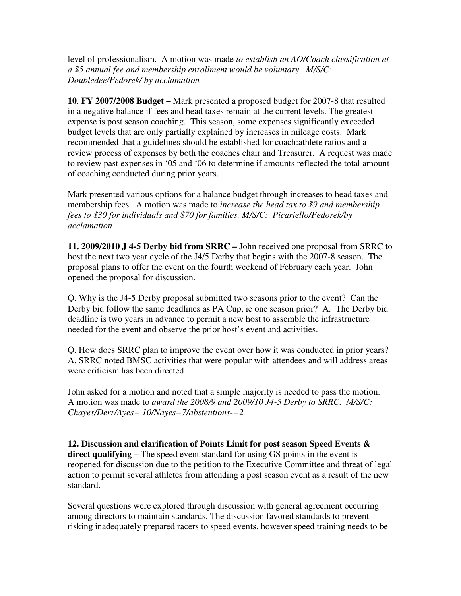level of professionalism. A motion was made *to establish an AO/Coach classification at a \$5 annual fee and membership enrollment would be voluntary. M/S/C: Doubledee/Fedorek/ by acclamation* 

**10**. **FY 2007/2008 Budget –** Mark presented a proposed budget for 2007-8 that resulted in a negative balance if fees and head taxes remain at the current levels. The greatest expense is post season coaching. This season, some expenses significantly exceeded budget levels that are only partially explained by increases in mileage costs. Mark recommended that a guidelines should be established for coach:athlete ratios and a review process of expenses by both the coaches chair and Treasurer. A request was made to review past expenses in '05 and '06 to determine if amounts reflected the total amount of coaching conducted during prior years.

Mark presented various options for a balance budget through increases to head taxes and membership fees. A motion was made to *increase the head tax to \$9 and membership fees to \$30 for individuals and \$70 for families. M/S/C: Picariello/Fedorek/by acclamation* 

**11. 2009/2010 J 4-5 Derby bid from SRRC –** John received one proposal from SRRC to host the next two year cycle of the J4/5 Derby that begins with the 2007-8 season. The proposal plans to offer the event on the fourth weekend of February each year. John opened the proposal for discussion.

Q. Why is the J4-5 Derby proposal submitted two seasons prior to the event? Can the Derby bid follow the same deadlines as PA Cup, ie one season prior? A. The Derby bid deadline is two years in advance to permit a new host to assemble the infrastructure needed for the event and observe the prior host's event and activities.

Q. How does SRRC plan to improve the event over how it was conducted in prior years? A. SRRC noted BMSC activities that were popular with attendees and will address areas were criticism has been directed.

John asked for a motion and noted that a simple majority is needed to pass the motion. A motion was made to *award the 2008/9 and 2009/10 J4-5 Derby to SRRC. M/S/C: Chayes/Derr/Ayes= 10/Nayes=7/abstentions-=2* 

**12. Discussion and clarification of Points Limit for post season Speed Events & direct qualifying –** The speed event standard for using GS points in the event is reopened for discussion due to the petition to the Executive Committee and threat of legal action to permit several athletes from attending a post season event as a result of the new standard.

Several questions were explored through discussion with general agreement occurring among directors to maintain standards. The discussion favored standards to prevent risking inadequately prepared racers to speed events, however speed training needs to be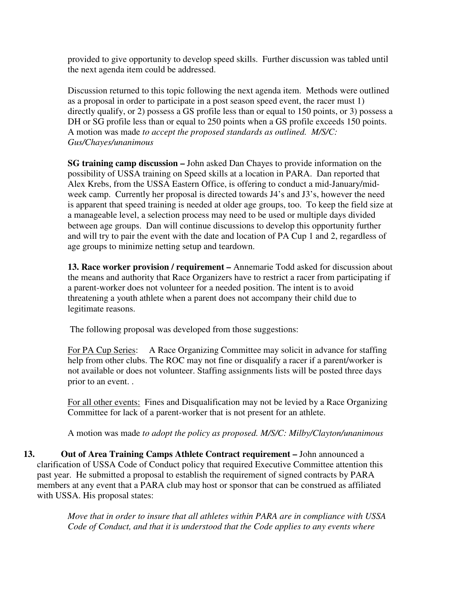provided to give opportunity to develop speed skills. Further discussion was tabled until the next agenda item could be addressed.

Discussion returned to this topic following the next agenda item. Methods were outlined as a proposal in order to participate in a post season speed event, the racer must 1) directly qualify, or 2) possess a GS profile less than or equal to 150 points, or 3) possess a DH or SG profile less than or equal to 250 points when a GS profile exceeds 150 points. A motion was made *to accept the proposed standards as outlined. M/S/C: Gus/Chayes/unanimous*

**SG training camp discussion –** John asked Dan Chayes to provide information on the possibility of USSA training on Speed skills at a location in PARA. Dan reported that Alex Krebs, from the USSA Eastern Office, is offering to conduct a mid-January/midweek camp. Currently her proposal is directed towards J4's and J3's, however the need is apparent that speed training is needed at older age groups, too. To keep the field size at a manageable level, a selection process may need to be used or multiple days divided between age groups. Dan will continue discussions to develop this opportunity further and will try to pair the event with the date and location of PA Cup 1 and 2, regardless of age groups to minimize netting setup and teardown.

**13. Race worker provision / requirement –** Annemarie Todd asked for discussion about the means and authority that Race Organizers have to restrict a racer from participating if a parent-worker does not volunteer for a needed position. The intent is to avoid threatening a youth athlete when a parent does not accompany their child due to legitimate reasons.

The following proposal was developed from those suggestions:

For PA Cup Series: A Race Organizing Committee may solicit in advance for staffing help from other clubs. The ROC may not fine or disqualify a racer if a parent/worker is not available or does not volunteer. Staffing assignments lists will be posted three days prior to an event. .

For all other events: Fines and Disqualification may not be levied by a Race Organizing Committee for lack of a parent-worker that is not present for an athlete.

A motion was made *to adopt the policy as proposed. M/S/C: Milby/Clayton/unanimous* 

**13. Out of Area Training Camps Athlete Contract requirement –** John announced a clarification of USSA Code of Conduct policy that required Executive Committee attention this past year. He submitted a proposal to establish the requirement of signed contracts by PARA members at any event that a PARA club may host or sponsor that can be construed as affiliated with USSA. His proposal states:

> *Move that in order to insure that all athletes within PARA are in compliance with USSA Code of Conduct, and that it is understood that the Code applies to any events where*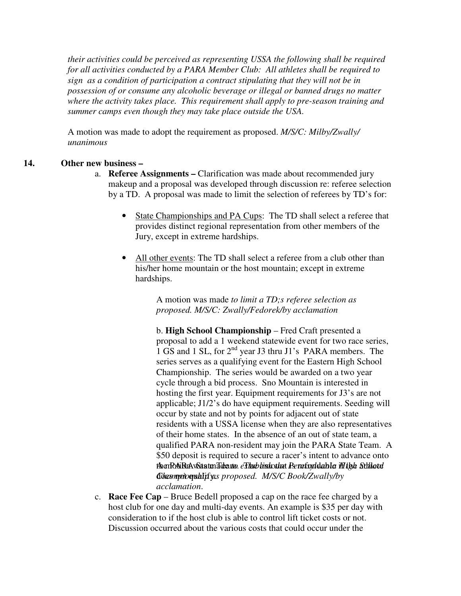*their activities could be perceived as representing USSA the following shall be required for all activities conducted by a PARA Member Club: All athletes shall be required to sign as a condition of participation a contract stipulating that they will not be in possession of or consume any alcoholic beverage or illegal or banned drugs no matter where the activity takes place. This requirement shall apply to pre-season training and summer camps even though they may take place outside the USA.* 

A motion was made to adopt the requirement as proposed. *M/S/C: Milby/Zwally/ unanimous*

## **14. Other new business –**

- a. **Referee Assignments** Clarification was made about recommended jury makeup and a proposal was developed through discussion re: referee selection by a TD. A proposal was made to limit the selection of referees by TD's for:
	- State Championships and PA Cups: The TD shall select a referee that provides distinct regional representation from other members of the Jury, except in extreme hardships.
	- All other events: The TD shall select a referee from a club other than his/her home mountain or the host mountain; except in extreme hardships.

A motion was made *to limit a TD;s referee selection as proposed. M/S/C: Zwally/Fedorek/by acclamation* 

b. **High School Championship** – Fred Craft presented a proposal to add a 1 weekend statewide event for two race series, 1 GS and 1 SL, for 2<sup>nd</sup> year J3 thru J1's PARA members. The series serves as a qualifying event for the Eastern High School Championship. The series would be awarded on a two year cycle through a bid process. Sno Mountain is interested in hosting the first year. Equipment requirements for J3's are not applicable; J1/2's do have equipment requirements. Seeding will occur by state and not by points for adjacent out of state residents with a USSA license when they are also representatives of their home states. In the absence of an out of state team, a qualified PARA non-resident may join the PARA State Team. A \$50 deposit is required to secure a racer's intent to advance onto thenRAiRuAvSatenTe<del>ba</del>mo.*eTheb bishothet Rennfsylv*labler iff tyk Sthlotel<br>Coleompionyship y.s proposed. M/S/C Book/Zwally/by Governotographity.s proposed. M/S/C Book/Zwally/by *acclamation*.

c. **Race Fee Cap** – Bruce Bedell proposed a cap on the race fee charged by a host club for one day and multi-day events. An example is \$35 per day with consideration to if the host club is able to control lift ticket costs or not. Discussion occurred about the various costs that could occur under the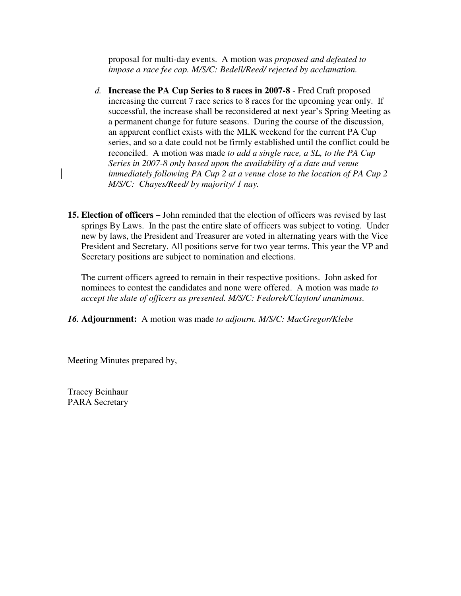proposal for multi-day events. A motion was *proposed and defeated to impose a race fee cap. M/S/C: Bedell/Reed/ rejected by acclamation.*

- *d.* **Increase the PA Cup Series to 8 races in 2007-8**  Fred Craft proposed increasing the current 7 race series to 8 races for the upcoming year only. If successful, the increase shall be reconsidered at next year's Spring Meeting as a permanent change for future seasons. During the course of the discussion, an apparent conflict exists with the MLK weekend for the current PA Cup series, and so a date could not be firmly established until the conflict could be reconciled. A motion was made *to add a single race, a SL, to the PA Cup Series in 2007-8 only based upon the availability of a date and venue immediately following PA Cup 2 at a venue close to the location of PA Cup 2 M/S/C: Chayes/Reed/ by majority/ 1 nay.*
- **15. Election of officers** John reminded that the election of officers was revised by last springs By Laws. In the past the entire slate of officers was subject to voting. Under new by laws, the President and Treasurer are voted in alternating years with the Vice President and Secretary. All positions serve for two year terms. This year the VP and Secretary positions are subject to nomination and elections.

The current officers agreed to remain in their respective positions. John asked for nominees to contest the candidates and none were offered. A motion was made *to accept the slate of officers as presented. M/S/C: Fedorek/Clayton/ unanimous.*

*16.* **Adjournment:** A motion was made *to adjourn. M/S/C: MacGregor/Klebe* 

Meeting Minutes prepared by,

Tracey Beinhaur PARA Secretary